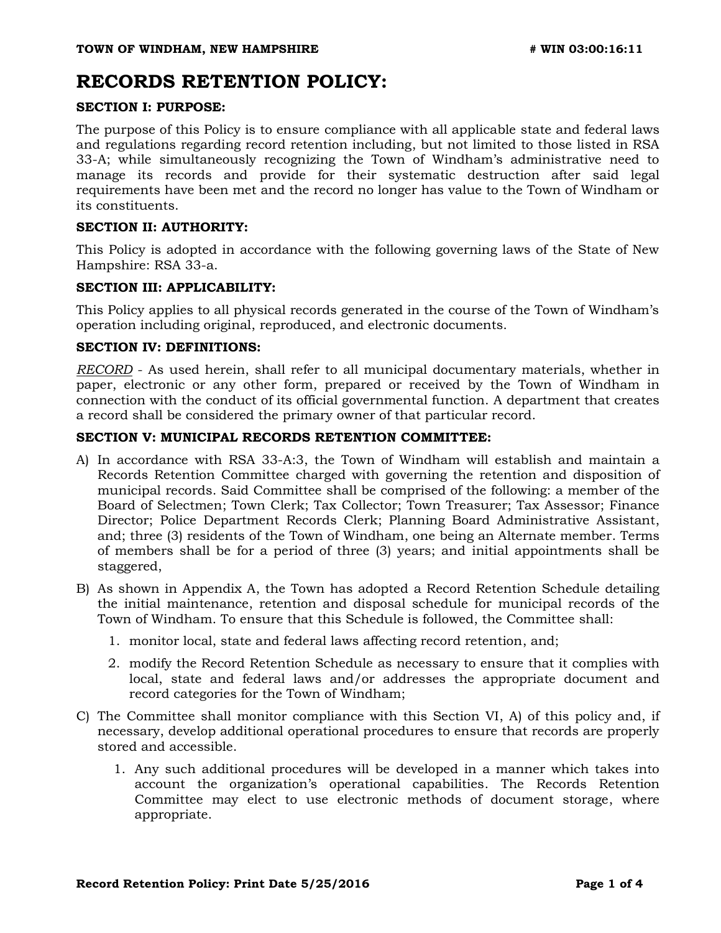# **RECORDS RETENTION POLICY:**

### **SECTION I: PURPOSE:**

The purpose of this Policy is to ensure compliance with all applicable state and federal laws and regulations regarding record retention including, but not limited to those listed in RSA 33-A; while simultaneously recognizing the Town of Windham's administrative need to manage its records and provide for their systematic destruction after said legal requirements have been met and the record no longer has value to the Town of Windham or its constituents.

#### **SECTION II: AUTHORITY:**

This Policy is adopted in accordance with the following governing laws of the State of New Hampshire: RSA 33-a.

## **SECTION III: APPLICABILITY:**

This Policy applies to all physical records generated in the course of the Town of Windham's operation including original, reproduced, and electronic documents.

#### **SECTION IV: DEFINITIONS:**

*RECORD* - As used herein, shall refer to all municipal documentary materials, whether in paper, electronic or any other form, prepared or received by the Town of Windham in connection with the conduct of its official governmental function. A department that creates a record shall be considered the primary owner of that particular record.

## **SECTION V: MUNICIPAL RECORDS RETENTION COMMITTEE:**

- A) In accordance with RSA 33-A:3, the Town of Windham will establish and maintain a Records Retention Committee charged with governing the retention and disposition of municipal records. Said Committee shall be comprised of the following: a member of the Board of Selectmen; Town Clerk; Tax Collector; Town Treasurer; Tax Assessor; Finance Director; Police Department Records Clerk; Planning Board Administrative Assistant, and; three (3) residents of the Town of Windham, one being an Alternate member. Terms of members shall be for a period of three (3) years; and initial appointments shall be staggered,
- B) As shown in Appendix A, the Town has adopted a Record Retention Schedule detailing the initial maintenance, retention and disposal schedule for municipal records of the Town of Windham. To ensure that this Schedule is followed, the Committee shall:
	- 1. monitor local, state and federal laws affecting record retention, and;
	- 2. modify the Record Retention Schedule as necessary to ensure that it complies with local, state and federal laws and/or addresses the appropriate document and record categories for the Town of Windham;
- C) The Committee shall monitor compliance with this Section VI, A) of this policy and, if necessary, develop additional operational procedures to ensure that records are properly stored and accessible.
	- 1. Any such additional procedures will be developed in a manner which takes into account the organization's operational capabilities. The Records Retention Committee may elect to use electronic methods of document storage, where appropriate.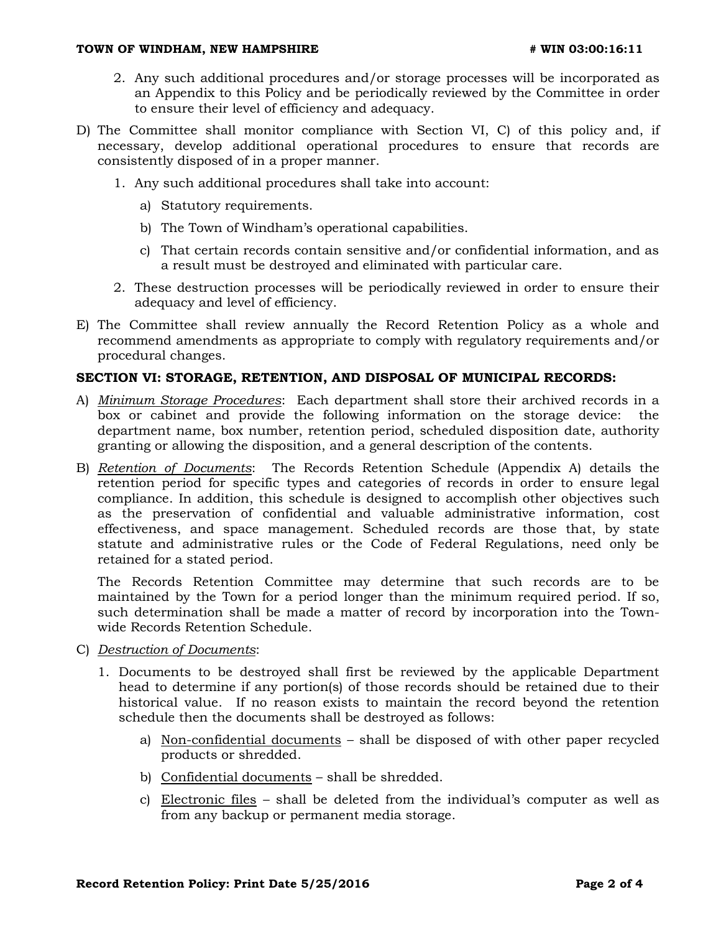#### **TOWN OF WINDHAM, NEW HAMPSHIRE**  $\qquad$  **# WIN 03:00:16:11**

- 2. Any such additional procedures and/or storage processes will be incorporated as an Appendix to this Policy and be periodically reviewed by the Committee in order to ensure their level of efficiency and adequacy.
- D) The Committee shall monitor compliance with Section VI, C) of this policy and, if necessary, develop additional operational procedures to ensure that records are consistently disposed of in a proper manner.
	- 1. Any such additional procedures shall take into account:
		- a) Statutory requirements.
		- b) The Town of Windham's operational capabilities.
		- c) That certain records contain sensitive and/or confidential information, and as a result must be destroyed and eliminated with particular care.
	- 2. These destruction processes will be periodically reviewed in order to ensure their adequacy and level of efficiency.
- E) The Committee shall review annually the Record Retention Policy as a whole and recommend amendments as appropriate to comply with regulatory requirements and/or procedural changes.

#### **SECTION VI: STORAGE, RETENTION, AND DISPOSAL OF MUNICIPAL RECORDS:**

- A) *Minimum Storage Procedures*: Each department shall store their archived records in a box or cabinet and provide the following information on the storage device: the department name, box number, retention period, scheduled disposition date, authority granting or allowing the disposition, and a general description of the contents.
- B) *Retention of Documents*: The Records Retention Schedule (Appendix A) details the retention period for specific types and categories of records in order to ensure legal compliance. In addition, this schedule is designed to accomplish other objectives such as the preservation of confidential and valuable administrative information, cost effectiveness, and space management. Scheduled records are those that, by state statute and administrative rules or the Code of Federal Regulations, need only be retained for a stated period.

The Records Retention Committee may determine that such records are to be maintained by the Town for a period longer than the minimum required period. If so, such determination shall be made a matter of record by incorporation into the Townwide Records Retention Schedule.

- C) *Destruction of Documents*:
	- 1. Documents to be destroyed shall first be reviewed by the applicable Department head to determine if any portion(s) of those records should be retained due to their historical value. If no reason exists to maintain the record beyond the retention schedule then the documents shall be destroyed as follows:
		- a) Non-confidential documents shall be disposed of with other paper recycled products or shredded.
		- b) Confidential documents shall be shredded.
		- c) Electronic files shall be deleted from the individual's computer as well as from any backup or permanent media storage.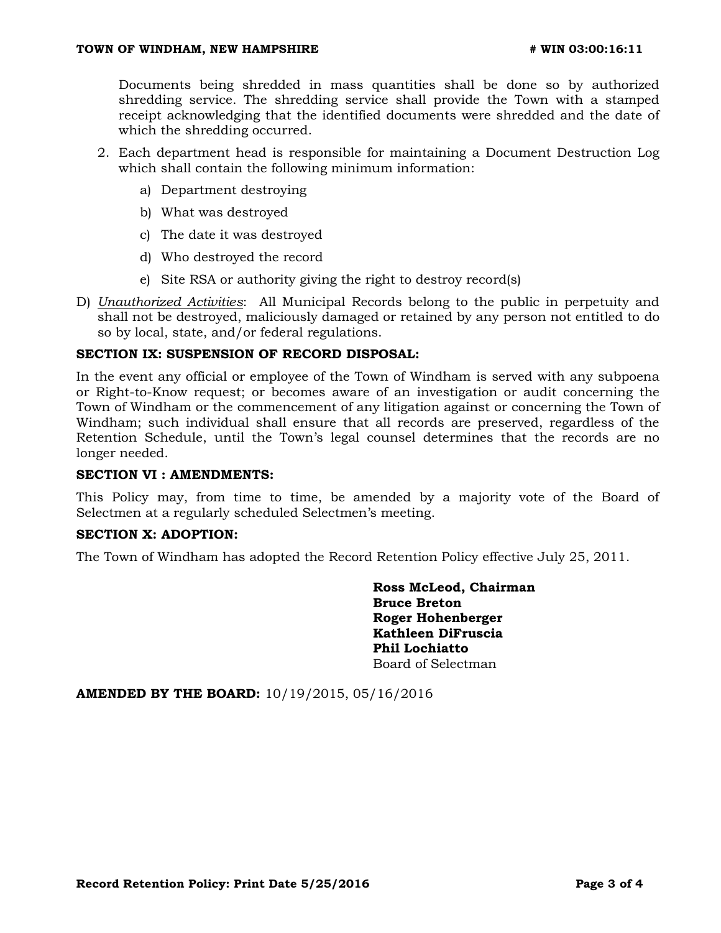Documents being shredded in mass quantities shall be done so by authorized shredding service. The shredding service shall provide the Town with a stamped receipt acknowledging that the identified documents were shredded and the date of which the shredding occurred.

- 2. Each department head is responsible for maintaining a Document Destruction Log which shall contain the following minimum information:
	- a) Department destroying
	- b) What was destroyed
	- c) The date it was destroyed
	- d) Who destroyed the record
	- e) Site RSA or authority giving the right to destroy record(s)
- D) *Unauthorized Activities*: All Municipal Records belong to the public in perpetuity and shall not be destroyed, maliciously damaged or retained by any person not entitled to do so by local, state, and/or federal regulations.

#### **SECTION IX: SUSPENSION OF RECORD DISPOSAL:**

In the event any official or employee of the Town of Windham is served with any subpoena or Right-to-Know request; or becomes aware of an investigation or audit concerning the Town of Windham or the commencement of any litigation against or concerning the Town of Windham; such individual shall ensure that all records are preserved, regardless of the Retention Schedule, until the Town's legal counsel determines that the records are no longer needed.

#### **SECTION VI : AMENDMENTS:**

This Policy may, from time to time, be amended by a majority vote of the Board of Selectmen at a regularly scheduled Selectmen's meeting.

### **SECTION X: ADOPTION:**

The Town of Windham has adopted the Record Retention Policy effective July 25, 2011.

**Ross McLeod, Chairman Bruce Breton Roger Hohenberger Kathleen DiFruscia Phil Lochiatto** Board of Selectman

**AMENDED BY THE BOARD:** 10/19/2015, 05/16/2016